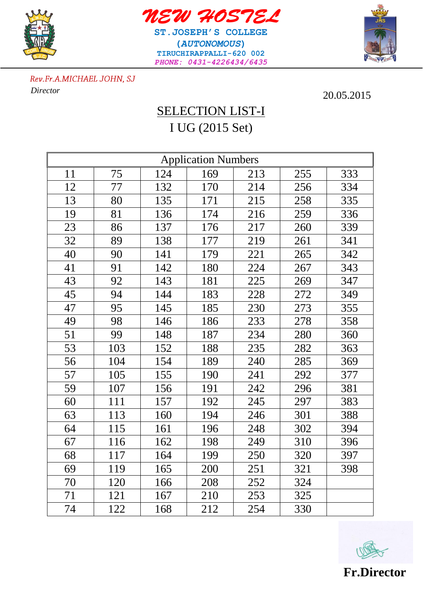



**ST.JOSEPH'S COLLEGE (***AUTONOMOUS***) TIRUCHIRAPPALLI-620 002** *PHONE: 0431-4226434/6435*



Rev.Fr.A.MICHAEL JOHN, SJ  *Director* 20.05.2015

## SELECTION LIST-I I UG (2015 Set)

| <b>Application Numbers</b> |     |     |     |     |     |     |  |  |  |
|----------------------------|-----|-----|-----|-----|-----|-----|--|--|--|
| 11                         | 75  | 124 | 169 | 213 | 255 | 333 |  |  |  |
| 12                         | 77  | 132 | 170 | 214 | 256 | 334 |  |  |  |
| 13                         | 80  | 135 | 171 | 215 | 258 | 335 |  |  |  |
| 19                         | 81  | 136 | 174 | 216 | 259 | 336 |  |  |  |
| 23                         | 86  | 137 | 176 | 217 | 260 | 339 |  |  |  |
| 32                         | 89  | 138 | 177 | 219 | 261 | 341 |  |  |  |
| 40                         | 90  | 141 | 179 | 221 | 265 | 342 |  |  |  |
| 41                         | 91  | 142 | 180 | 224 | 267 | 343 |  |  |  |
| 43                         | 92  | 143 | 181 | 225 | 269 | 347 |  |  |  |
| 45                         | 94  | 144 | 183 | 228 | 272 | 349 |  |  |  |
| 47                         | 95  | 145 | 185 | 230 | 273 | 355 |  |  |  |
| 49                         | 98  | 146 | 186 | 233 | 278 | 358 |  |  |  |
| 51                         | 99  | 148 | 187 | 234 | 280 | 360 |  |  |  |
| 53                         | 103 | 152 | 188 | 235 | 282 | 363 |  |  |  |
| 56                         | 104 | 154 | 189 | 240 | 285 | 369 |  |  |  |
| 57                         | 105 | 155 | 190 | 241 | 292 | 377 |  |  |  |
| 59                         | 107 | 156 | 191 | 242 | 296 | 381 |  |  |  |
| 60                         | 111 | 157 | 192 | 245 | 297 | 383 |  |  |  |
| 63                         | 113 | 160 | 194 | 246 | 301 | 388 |  |  |  |
| 64                         | 115 | 161 | 196 | 248 | 302 | 394 |  |  |  |
| 67                         | 116 | 162 | 198 | 249 | 310 | 396 |  |  |  |
| 68                         | 117 | 164 | 199 | 250 | 320 | 397 |  |  |  |
| 69                         | 119 | 165 | 200 | 251 | 321 | 398 |  |  |  |
| 70                         | 120 | 166 | 208 | 252 | 324 |     |  |  |  |
| 71                         | 121 | 167 | 210 | 253 | 325 |     |  |  |  |
| 74                         | 122 | 168 | 212 | 254 | 330 |     |  |  |  |